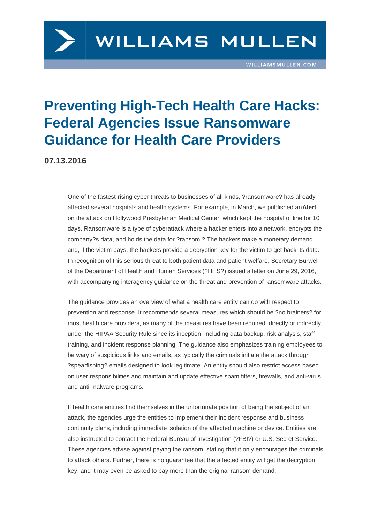## Preventing High-Tech Health Care Hacks: Federal Agencies Issue Ransomware Guidance for Health Care Providers

07.13.2016

One of the fastest-rising cyber threats to businesses of all kinds, ?ransomware? has already affected several hospitals and health systems. For example, in March, we published an Alert on the attack on Hollywood Presbyterian Medical Center, which kept the hospital offline for 10 days. Ransomware is a type of cyberattack where a hacker enters into a network, encrypts the company?s data, and holds the data for ?ransom.? The hackers make a monetary de[mand,](http://www.williamsmullen.com/news/latest-ransomware-attack-affects-hospital-data-–-how-secure-are-your-patient-data)  and, if the victim pays, the hackers provide a decryption key for the victim to get back its data. In recognition of this serious threat to both patient data and patient welfare, Secretary Burwell of the Department of Health and Human Services (?HHS?) issued a letter on June 29, 2016, with accompanying interagency guidance on the threat and prevention of ransomware attacks.

The guidance provides an overview of what a health care entity can do with respect to prevention and response. It recommends several measures which should be ?no brainers? for most health care providers, as many of the measures have been required, directly or indirectly, under the HIPAA Security Rule since its inception, including data backup, risk analysis, staff training, and incident response planning. The guidance also emphasizes training employees to be wary of suspicious links and emails, as typically the criminals initiate the attack through ?spearfishing? emails designed to look legitimate. An entity should also restrict access based on user responsibilities and maintain and update effective spam filters, firewalls, and anti-virus and anti-malware programs.

If health care entities find themselves in the unfortunate position of being the subject of an attack, the agencies urge the entities to implement their incident response and business continuity plans, including immediate isolation of the affected machine or device. Entities are also instructed to contact the Federal Bureau of Investigation (?FBI?) or U.S. Secret Service. These agencies advise against paying the ransom, stating that it only encourages the criminals to attack others. Further, there is no guarantee that the affected entity will get the decryption key, and it may even be asked to pay more than the original ransom demand.